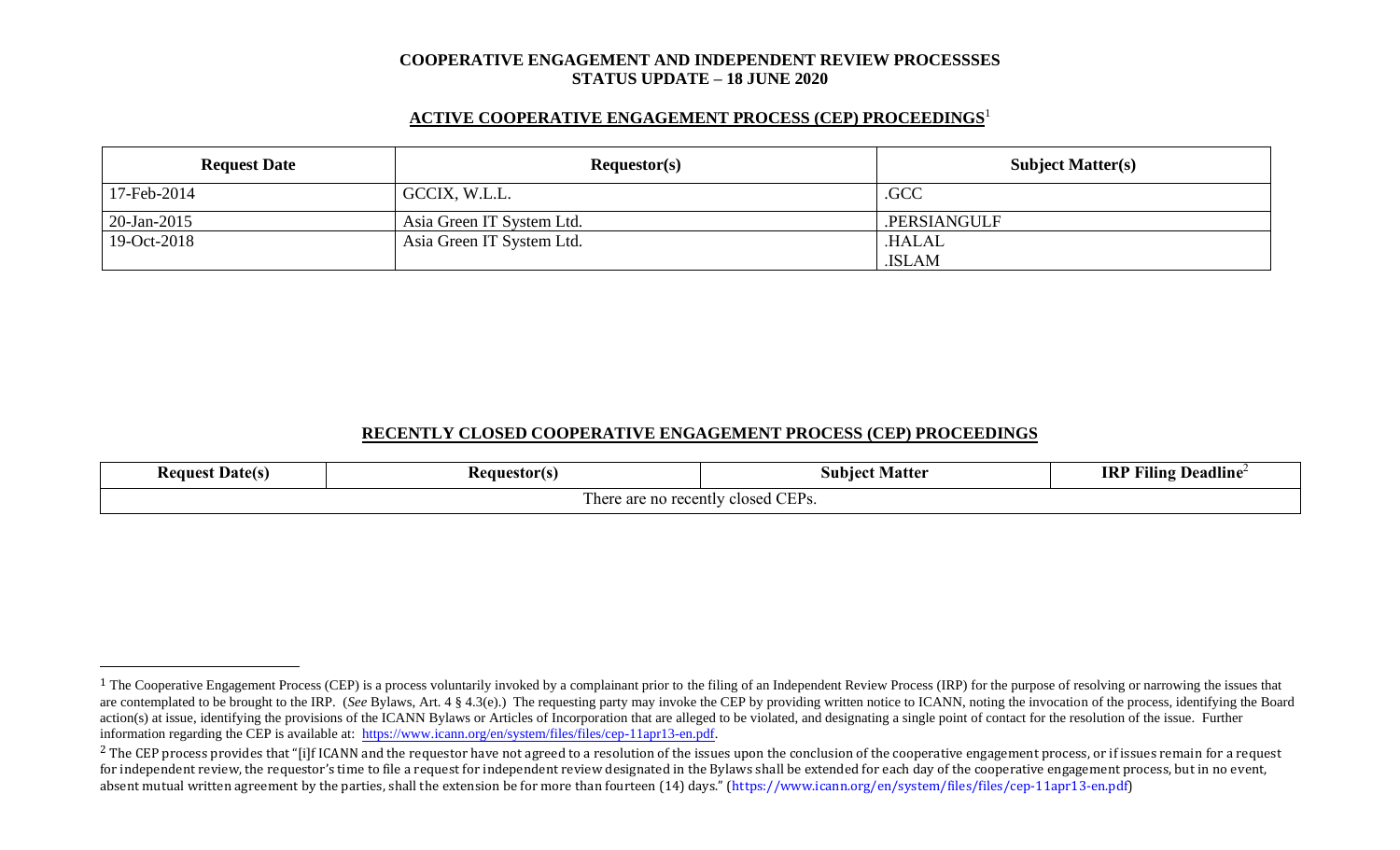#### **COOPERATIVE ENGAGEMENT AND INDEPENDENT REVIEW PROCESSSES STATUS UPDATE – 18 JUNE 2020**

# **ACTIVE COOPERATIVE ENGAGEMENT PROCESS (CEP) PROCEEDINGS** 1

| <b>Request Date</b> | Requestor(s)              | <b>Subject Matter(s)</b> |
|---------------------|---------------------------|--------------------------|
| 17-Feb-2014         | GCCIX, W.L.L.             | .GCC                     |
| $20$ -Jan-2015      | Asia Green IT System Ltd. | .PERSIANGULF             |
| 19-Oct-2018         | Asia Green IT System Ltd. | <b>HALAL</b>             |
|                     |                           | .ISLAM                   |

# **RECENTLY CLOSED COOPERATIVE ENGAGEMENT PROCESS (CEP) PROCEEDINGS**

| <b>Request Date(s)</b>                | <b>Requestor(s)</b> | <b>Matter</b><br>Subiect | Deadline<br>$\blacksquare$<br><b>IRP</b><br>Fılıng |  |
|---------------------------------------|---------------------|--------------------------|----------------------------------------------------|--|
| closed CEPs.<br>There are no recently |                     |                          |                                                    |  |

<sup>&</sup>lt;sup>1</sup> The Cooperative Engagement Process (CEP) is a process voluntarily invoked by a complainant prior to the filing of an Independent Review Process (IRP) for the purpose of resolving or narrowing the issues that are contemplated to be brought to the IRP. (*See* Bylaws, Art. 4 § 4.3(e).) The requesting party may invoke the CEP by providing written notice to ICANN, noting the invocation of the process, identifying the Board action(s) at issue, identifying the provisions of the ICANN Bylaws or Articles of Incorporation that are alleged to be violated, and designating a single point of contact for the resolution of the issue. Further information regarding the CEP is available at: [https://www.icann.org/en/system/files/files/cep-11apr13-en.pdf.](https://www.icann.org/en/system/files/files/cep-11apr13-en.pdf)

 $2$  The CEP process provides that "[i]f ICANN and the requestor have not agreed to a resolution of the issues upon the conclusion of the cooperative engagement process, or if issues remain for a request for independent review, the requestor's time to file a request for independent review designated in the Bylaws shall be extended for each day of the cooperative engagement process, but in no event, absent mutual written agreement by the parties, shall the extension be for more than fourteen (14) days." (https://www.icann.org/en/system/files/files/cep-11apr13-en.pdf)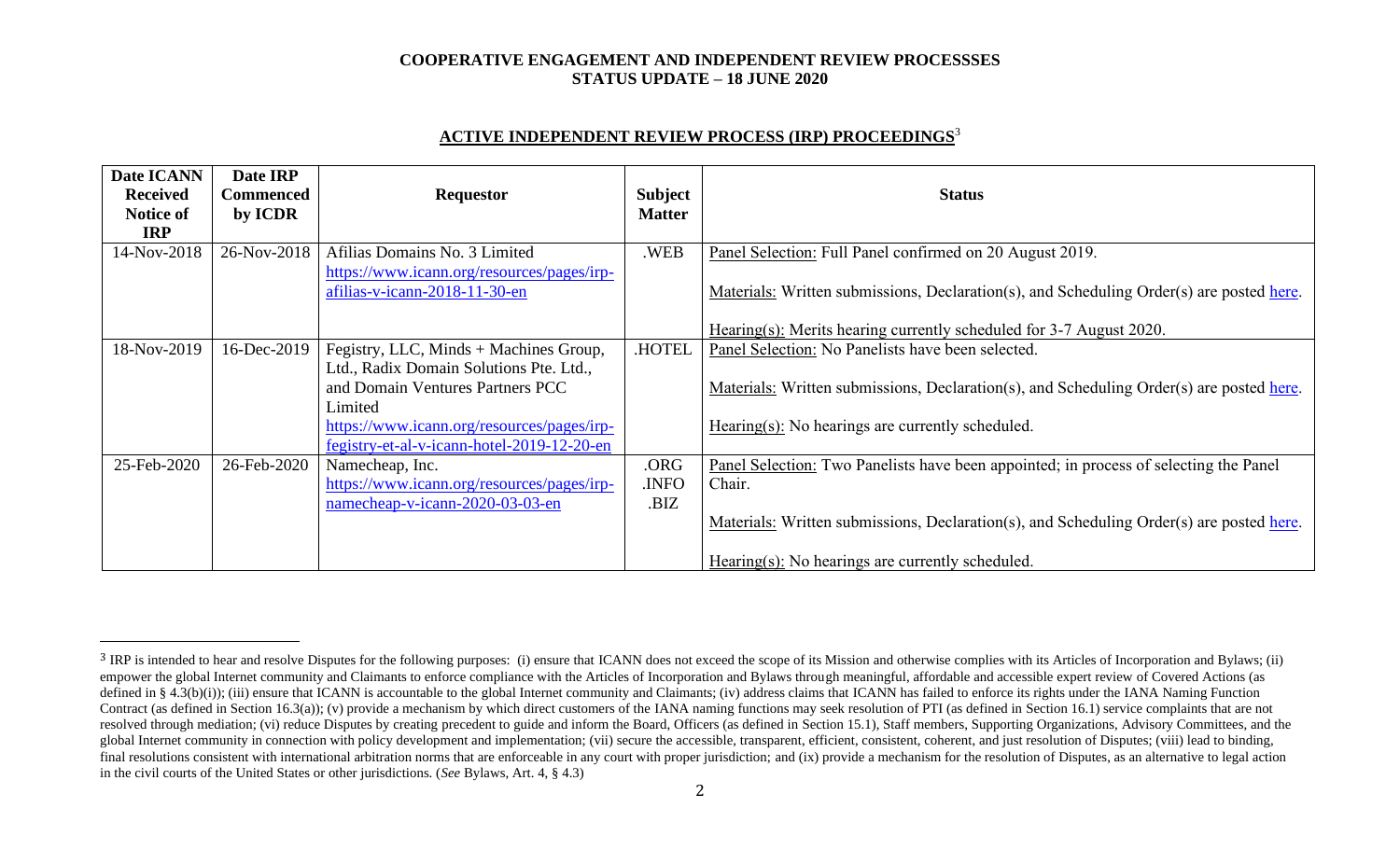# **COOPERATIVE ENGAGEMENT AND INDEPENDENT REVIEW PROCESSSES STATUS UPDATE – 18 JUNE 2020**

# **ACTIVE INDEPENDENT REVIEW PROCESS (IRP) PROCEEDINGS** 3

| Date ICANN<br><b>Received</b><br>Notice of<br><b>IRP</b> | Date IRP<br>Commenced<br>by ICDR | <b>Requestor</b>                                                            | <b>Subject</b><br><b>Matter</b> | <b>Status</b>                                                                                                                                                   |
|----------------------------------------------------------|----------------------------------|-----------------------------------------------------------------------------|---------------------------------|-----------------------------------------------------------------------------------------------------------------------------------------------------------------|
| 14-Nov-2018                                              | 26-Nov-2018                      | Afilias Domains No. 3 Limited                                               | .WEB                            | Panel Selection: Full Panel confirmed on 20 August 2019.                                                                                                        |
|                                                          |                                  | https://www.icann.org/resources/pages/irp-<br>afilias-v-icann-2018-11-30-en |                                 | Materials: Written submissions, Declaration(s), and Scheduling Order(s) are posted here.<br>Hearing(s): Merits hearing currently scheduled for 3-7 August 2020. |
|                                                          |                                  |                                                                             |                                 |                                                                                                                                                                 |
| 18-Nov-2019                                              | 16-Dec-2019                      | Fegistry, LLC, Minds + Machines Group,                                      | .HOTEL                          | Panel Selection: No Panelists have been selected.                                                                                                               |
|                                                          |                                  | Ltd., Radix Domain Solutions Pte. Ltd.,                                     |                                 |                                                                                                                                                                 |
|                                                          |                                  | and Domain Ventures Partners PCC                                            |                                 | Materials: Written submissions, Declaration(s), and Scheduling Order(s) are posted here.                                                                        |
|                                                          |                                  | Limited                                                                     |                                 |                                                                                                                                                                 |
|                                                          |                                  | https://www.icann.org/resources/pages/irp-                                  |                                 | $Hearing(s)$ : No hearings are currently scheduled.                                                                                                             |
|                                                          |                                  | fegistry-et-al-v-icann-hotel-2019-12-20-en                                  |                                 |                                                                                                                                                                 |
| 25-Feb-2020                                              | 26-Feb-2020                      | Namecheap, Inc.                                                             | .ORG                            | Panel Selection: Two Panelists have been appointed; in process of selecting the Panel                                                                           |
|                                                          |                                  | https://www.icann.org/resources/pages/irp-                                  | <b>INFO</b>                     | Chair.                                                                                                                                                          |
|                                                          |                                  | namecheap-v-icann-2020-03-03-en                                             | .BIZ                            |                                                                                                                                                                 |
|                                                          |                                  |                                                                             |                                 | Materials: Written submissions, Declaration(s), and Scheduling Order(s) are posted here.                                                                        |
|                                                          |                                  |                                                                             |                                 | Hearing(s): No hearings are currently scheduled.                                                                                                                |

<sup>&</sup>lt;sup>3</sup> IRP is intended to hear and resolve Disputes for the following purposes: (i) ensure that ICANN does not exceed the scope of its Mission and otherwise complies with its Articles of Incorporation and Bylaws; (ii) empower the global Internet community and Claimants to enforce compliance with the Articles of Incorporation and Bylaws through meaningful, affordable and accessible expert review of Covered Actions (as defined in § 4.3(b)(i)); (iii) ensure that ICANN is accountable to the global Internet community and Claimants; (iv) address claims that ICANN has failed to enforce its rights under the IANA Naming Function Contract (as defined in Section 16.3(a)); (v) provide a mechanism by which direct customers of the IANA naming functions may seek resolution of PTI (as defined in Section 16.1) service complaints that are not resolved through mediation; (vi) reduce Disputes by creating precedent to guide and inform the Board, Officers (as defined in Section 15.1), Staff members, Supporting Organizations, Advisory Committees, and the global Internet community in connection with policy development and implementation; (vii) secure the accessible, transparent, efficient, consistent, coherent, and just resolution of Disputes; (viii) lead to binding, final resolutions consistent with international arbitration norms that are enforceable in any court with proper jurisdiction; and (ix) provide a mechanism for the resolution of Disputes, as an alternative to legal action in the civil courts of the United States or other jurisdictions. (*See* Bylaws, Art. 4, § 4.3)